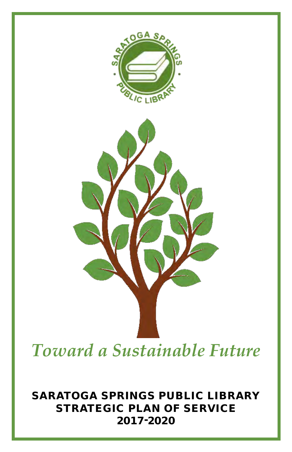

*Toward a Sustainable Future*

Saratoga Springs Public Library Strategic plan of service 2017-2020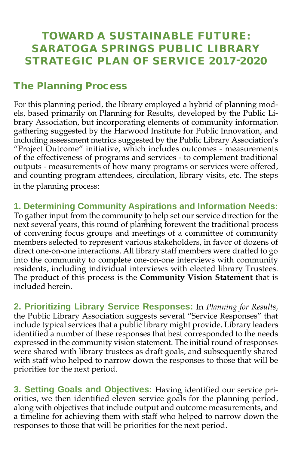## Toward a sustainable future: saratoga springs public Library Strategic plan of service 2017-2020

### The Planning Process

For this planning period, the library employed a hybrid of planning models, based primarily on Planning for Results, developed by the Public Library Association, but incorporating elements of community information gathering suggested by the Harwood Institute for Public Innovation, and including assessment metrics suggested by the Public Library Association's "Project Outcome" initiative, which includes outcomes - measurements of the effectiveness of programs and services - to complement traditional outputs - measurements of how many programs or services were offered, and counting program attendees, circulation, library visits, etc. The steps in the planning process:

**1. Determining Community Aspirations and Information Needs:** To gather input from the community to help set our service direction for the next several years, this round of planning forewent the traditional process of convening focus groups and meetings of a committee of community members selected to represent various stakeholders, in favor of dozens of direct one-on-one interactions. All library staff members were drafted to go into the community to complete one-on-one interviews with community residents, including individual interviews with elected library Trustees. The product of this process is the **Community Vision Statement** that is included herein.

**2. Prioritizing Library Service Responses:** In *Planning for Results*, the Public Library Association suggests several "Service Responses" that include typical services that a public library might provide. Library leaders identified a number of these responses that best corresponded to the needs expressed in the community vision statement. The initial round of responses were shared with library trustees as draft goals, and subsequently shared with staff who helped to narrow down the responses to those that will be priorities for the next period.

**3. Setting Goals and Objectives:** Having identified our service priorities, we then identified eleven service goals for the planning period, along with objectives that include output and outcome measurements, and a timeline for achieving them with staff who helped to narrow down the responses to those that will be priorities for the next period.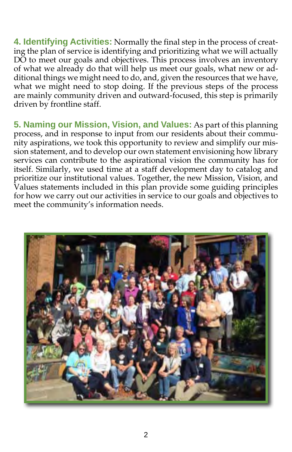**4. Identifying Activities:** Normally the final step in the process of creating the plan of service is identifying and prioritizing what we will actually DO to meet our goals and objectives. This process involves an inventory of what we already do that will help us meet our goals, what new or additional things we might need to do, and, given the resources that we have, what we might need to stop doing. If the previous steps of the process are mainly community driven and outward-focused, this step is primarily driven by frontline staff.

**5. Naming our Mission, Vision, and Values:** As part of this planning process, and in response to input from our residents about their community aspirations, we took this opportunity to review and simplify our mission statement, and to develop our own statement envisioning how library services can contribute to the aspirational vision the community has for itself. Similarly, we used time at a staff development day to catalog and prioritize our institutional values. Together, the new Mission, Vision, and Values statements included in this plan provide some guiding principles for how we carry out our activities in service to our goals and objectives to meet the community's information needs.

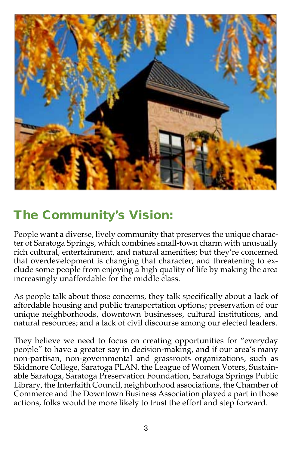

## The Community's Vision:

People want a diverse, lively community that preserves the unique character of Saratoga Springs, which combines small-town charm with unusually rich cultural, entertainment, and natural amenities; but they're concerned that overdevelopment is changing that character, and threatening to exclude some people from enjoying a high quality of life by making the area increasingly unaffordable for the middle class.

As people talk about those concerns, they talk specifically about a lack of affordable housing and public transportation options; preservation of our unique neighborhoods, downtown businesses, cultural institutions, and natural resources; and a lack of civil discourse among our elected leaders.

They believe we need to focus on creating opportunities for "everyday people" to have a greater say in decision-making, and if our area's many non-partisan, non-governmental and grassroots organizations, such as Skidmore College, Saratoga PLAN, the League of Women Voters, Sustainable Saratoga, Saratoga Preservation Foundation, Saratoga Springs Public Library, the Interfaith Council, neighborhood associations, the Chamber of Commerce and the Downtown Business Association played a part in those actions, folks would be more likely to trust the effort and step forward.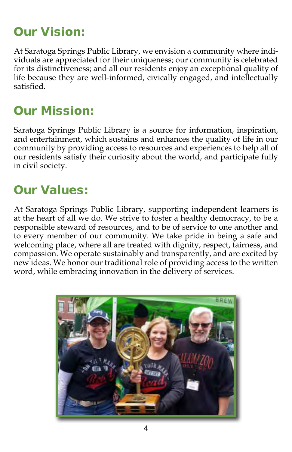# Our Vision:

At Saratoga Springs Public Library, we envision a community where individuals are appreciated for their uniqueness; our community is celebrated for its distinctiveness; and all our residents enjoy an exceptional quality of life because they are well-informed, civically engaged, and intellectually satisfied.

## Our Mission:

Saratoga Springs Public Library is a source for information, inspiration, and entertainment, which sustains and enhances the quality of life in our community by providing access to resources and experiences to help all of our residents satisfy their curiosity about the world, and participate fully in civil society.

## Our Values:

At Saratoga Springs Public Library, supporting independent learners is at the heart of all we do. We strive to foster a healthy democracy, to be a responsible steward of resources, and to be of service to one another and to every member of our community. We take pride in being a safe and welcoming place, where all are treated with dignity, respect, fairness, and compassion. We operate sustainably and transparently, and are excited by new ideas. We honor our traditional role of providing access to the written word, while embracing innovation in the delivery of services.

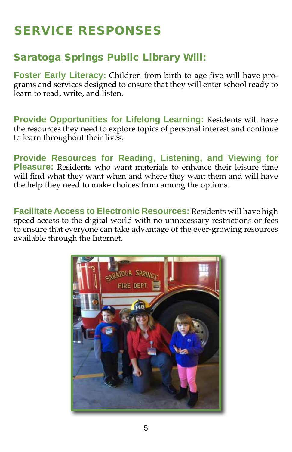# Service Responses

## Saratoga Springs Public Library Will:

**Foster Early Literacy:** Children from birth to age five will have programs and services designed to ensure that they will enter school ready to learn to read, write, and listen.

**Provide Opportunities for Lifelong Learning:** Residents will have the resources they need to explore topics of personal interest and continue to learn throughout their lives.

**Provide Resources for Reading, Listening, and Viewing for Pleasure:** Residents who want materials to enhance their leisure time will find what they want when and where they want them and will have the help they need to make choices from among the options.

**Facilitate Access to Electronic Resources:** Residents will have high speed access to the digital world with no unnecessary restrictions or fees to ensure that everyone can take advantage of the ever-growing resources available through the Internet.

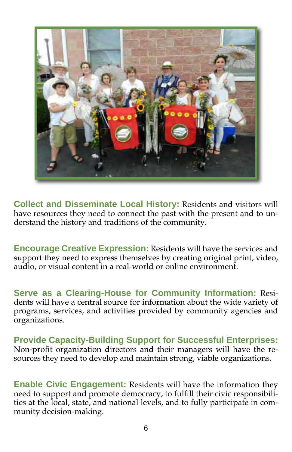

**Collect and Disseminate Local History:** Residents and visitors will have resources they need to connect the past with the present and to understand the history and traditions of the community.

**Encourage Creative Expression:** Residents will have the services and support they need to express themselves by creating original print, video, audio, or visual content in a real-world or online environment.

**Serve as a Clearing-House for Community Information:** Residents will have a central source for information about the wide variety of programs, services, and activities provided by community agencies and organizations.

**Provide Capacity-Building Support for Successful Enterprises:**  Non-profit organization directors and their managers will have the resources they need to develop and maintain strong, viable organizations.

**Enable Civic Engagement:** Residents will have the information they need to support and promote democracy, to fulfill their civic responsibilities at the local, state, and national levels, and to fully participate in community decision-making.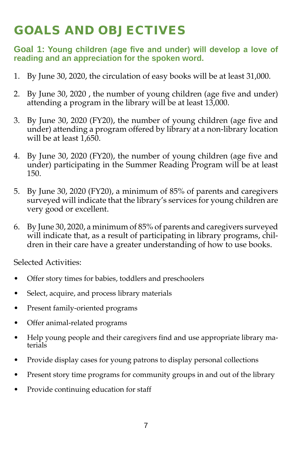# Goals and objectives

#### **Goal 1: Young children (age five and under) will develop a love of reading and an appreciation for the spoken word.**

- 1. By June 30, 2020, the circulation of easy books will be at least 31,000.
- 2. By June 30, 2020 , the number of young children (age five and under) attending a program in the library will be at least 13,000.
- 3. By June 30, 2020 (FY20), the number of young children (age five and under) attending a program offered by library at a non-library location will be at least 1,650.
- 4. By June 30, 2020 (FY20), the number of young children (age five and under) participating in the Summer Reading Program will be at least 150.
- 5. By June 30, 2020 (FY20), a minimum of 85% of parents and caregivers surveyed will indicate that the library's services for young children are very good or excellent.
- 6. By June 30, 2020, a minimum of 85% of parents and caregivers surveyed will indicate that, as a result of participating in library programs, children in their care have a greater understanding of how to use books.

- • Offer story times for babies, toddlers and preschoolers
- • Select, acquire, and process library materials
- Present family-oriented programs
- Offer animal-related programs
- Help young people and their caregivers find and use appropriate library materials
- Provide display cases for young patrons to display personal collections
- Present story time programs for community groups in and out of the library
- Provide continuing education for staff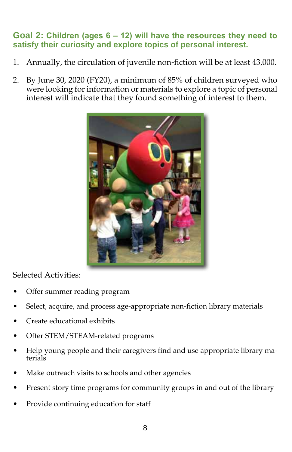#### **Goal 2: Children (ages 6 – 12) will have the resources they need to satisfy their curiosity and explore topics of personal interest.**

- 1. Annually, the circulation of juvenile non-fiction will be at least 43,000.
- 2. By June 30, 2020 (FY20), a minimum of 85% of children surveyed who were looking for information or materials to explore a topic of personal interest will indicate that they found something of interest to them.



- Offer summer reading program
- Select, acquire, and process age-appropriate non-fiction library materials
- Create educational exhibits
- Offer STEM/STEAM-related programs
- Help young people and their caregivers find and use appropriate library materials
- Make outreach visits to schools and other agencies
- Present story time programs for community groups in and out of the library
- Provide continuing education for staff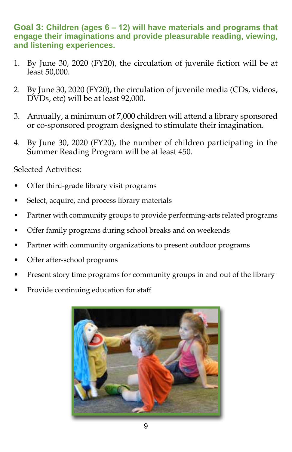**Goal 3: Children (ages 6 – 12) will have materials and programs that engage their imaginations and provide pleasurable reading, viewing, and listening experiences.** 

- 1. By June 30, 2020 (FY20), the circulation of juvenile fiction will be at least 50,000.
- 2. By June 30, 2020 (FY20), the circulation of juvenile media (CDs, videos, DVDs, etc) will be at least 92,000.
- 3. Annually, a minimum of 7,000 children will attend a library sponsored or co-sponsored program designed to stimulate their imagination.
- 4. By June 30, 2020 (FY20), the number of children participating in the Summer Reading Program will be at least 450.

- Offer third-grade library visit programs
- Select, acquire, and process library materials
- Partner with community groups to provide performing-arts related programs
- Offer family programs during school breaks and on weekends
- • Partner with community organizations to present outdoor programs
- Offer after-school programs
- Present story time programs for community groups in and out of the library
- Provide continuing education for staff

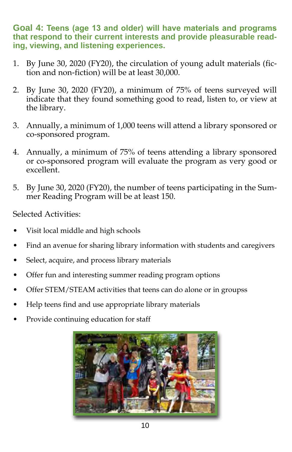**Goal 4: Teens (age 13 and older) will have materials and programs that respond to their current interests and provide pleasurable reading, viewing, and listening experiences.**

- 1. By June 30, 2020 (FY20), the circulation of young adult materials (fiction and non-fiction) will be at least 30,000.
- 2. By June 30, 2020 (FY20), a minimum of 75% of teens surveyed will indicate that they found something good to read, listen to, or view at the library.
- 3. Annually, a minimum of 1,000 teens will attend a library sponsored or co-sponsored program.
- 4. Annually, a minimum of 75% of teens attending a library sponsored or co-sponsored program will evaluate the program as very good or excellent.
- 5. By June 30, 2020 (FY20), the number of teens participating in the Summer Reading Program will be at least 150.

- Visit local middle and high schools
- Find an avenue for sharing library information with students and caregivers
- Select, acquire, and process library materials
- Offer fun and interesting summer reading program options
- Offer STEM/STEAM activities that teens can do alone or in groupss
- Help teens find and use appropriate library materials
- Provide continuing education for staff

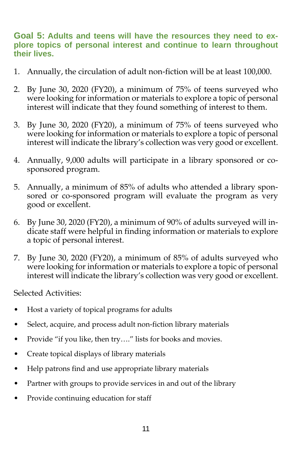#### **Goal 5: Adults and teens will have the resources they need to explore topics of personal interest and continue to learn throughout their lives.**

- 1. Annually, the circulation of adult non-fiction will be at least 100,000.
- 2. By June 30, 2020 (FY20), a minimum of 75% of teens surveyed who were looking for information or materials to explore a topic of personal interest will indicate that they found something of interest to them.
- 3. By June 30, 2020 (FY20), a minimum of 75% of teens surveyed who were looking for information or materials to explore a topic of personal interest will indicate the library's collection was very good or excellent.
- 4. Annually, 9,000 adults will participate in a library sponsored or cosponsored program.
- 5. Annually, a minimum of 85% of adults who attended a library sponsored or co-sponsored program will evaluate the program as very good or excellent.
- 6. By June 30, 2020 (FY20), a minimum of 90% of adults surveyed will indicate staff were helpful in finding information or materials to explore a topic of personal interest.
- 7. By June 30, 2020 (FY20), a minimum of 85% of adults surveyed who were looking for information or materials to explore a topic of personal interest will indicate the library's collection was very good or excellent.

- Host a variety of topical programs for adults
- Select, acquire, and process adult non-fiction library materials
- Provide "if you like, then try...." lists for books and movies.
- • Create topical displays of library materials
- Help patrons find and use appropriate library materials
- Partner with groups to provide services in and out of the library
- Provide continuing education for staff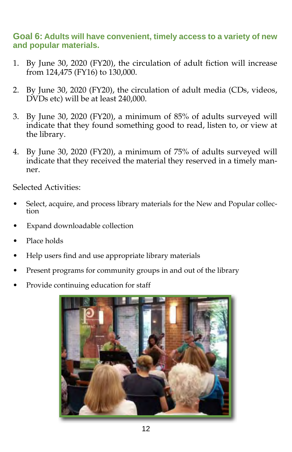#### **Goal 6: Adults will have convenient, timely access to a variety of new and popular materials.**

- 1. By June 30, 2020 (FY20), the circulation of adult fiction will increase from 124,475 (FY16) to 130,000.
- 2. By June 30, 2020 (FY20), the circulation of adult media (CDs, videos, DVDs etc) will be at least 240,000.
- 3. By June 30, 2020 (FY20), a minimum of 85% of adults surveyed will indicate that they found something good to read, listen to, or view at the library.
- 4. By June 30, 2020 (FY20), a minimum of 75% of adults surveyed will indicate that they received the material they reserved in a timely manner.

- Select, acquire, and process library materials for the New and Popular collection
- Expand downloadable collection
- Place holds
- Help users find and use appropriate library materials
- Present programs for community groups in and out of the library
- Provide continuing education for staff

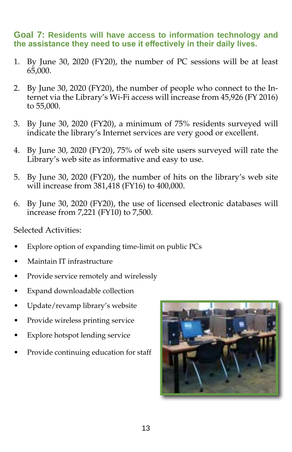#### **Goal 7: Residents will have access to information technology and the assistance they need to use it effectively in their daily lives.**

- 1. By June 30, 2020 (FY20), the number of PC sessions will be at least 65,000.
- 2. By June 30, 2020 (FY20), the number of people who connect to the Internet via the Library's Wi-Fi access will increase from 45,926 (FY 2016) to 55,000.
- 3. By June 30, 2020 (FY20), a minimum of 75% residents surveyed will indicate the library's Internet services are very good or excellent.
- 4. By June 30, 2020 (FY20), 75% of web site users surveyed will rate the Library's web site as informative and easy to use.
- 5. By June 30, 2020 (FY20), the number of hits on the library's web site will increase from 381,418 (FY16) to 400,000.
- 6. By June 30, 2020 (FY20), the use of licensed electronic databases will increase from 7,221 (FY10) to 7,500.

- Explore option of expanding time-limit on public PCs
- Maintain IT infrastructure
- Provide service remotely and wirelessly
- Expand downloadable collection
- Update/revamp library's website
- Provide wireless printing service
- Explore hotspot lending service
- Provide continuing education for staff

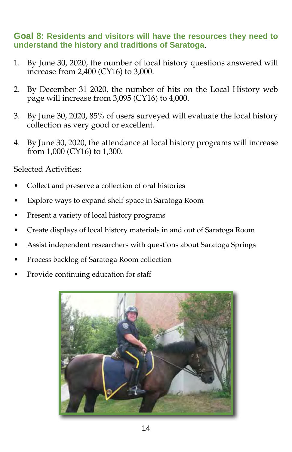#### **Goal 8: Residents and visitors will have the resources they need to understand the history and traditions of Saratoga**.

- 1. By June 30, 2020, the number of local history questions answered will increase from 2,400 (CY16) to 3,000.
- 2. By December 31 2020, the number of hits on the Local History web page will increase from 3,095 (CY16) to 4,000.
- 3. By June 30, 2020, 85% of users surveyed will evaluate the local history collection as very good or excellent.
- 4. By June 30, 2020, the attendance at local history programs will increase from 1,000 (CY16) to 1,300.

- Collect and preserve a collection of oral histories
- Explore ways to expand shelf-space in Saratoga Room
- Present a variety of local history programs
- Create displays of local history materials in and out of Saratoga Room
- Assist independent researchers with questions about Saratoga Springs
- Process backlog of Saratoga Room collection
- Provide continuing education for staff

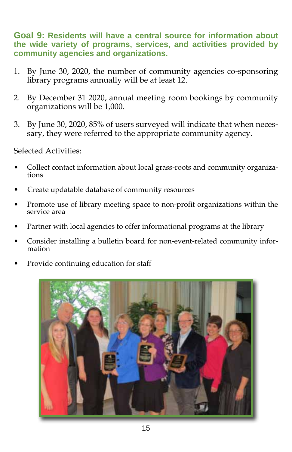**Goal 9: Residents will have a central source for information about the wide variety of programs, services, and activities provided by community agencies and organizations.** 

- 1. By June 30, 2020, the number of community agencies co-sponsoring library programs annually will be at least 12.
- 2. By December 31 2020, annual meeting room bookings by community organizations will be 1,000.
- 3. By June 30, 2020, 85% of users surveyed will indicate that when necessary, they were referred to the appropriate community agency.

- Collect contact information about local grass-roots and community organizations
- Create updatable database of community resources
- Promote use of library meeting space to non-profit organizations within the service area
- Partner with local agencies to offer informational programs at the library
- Consider installing a bulletin board for non-event-related community information
- Provide continuing education for staff

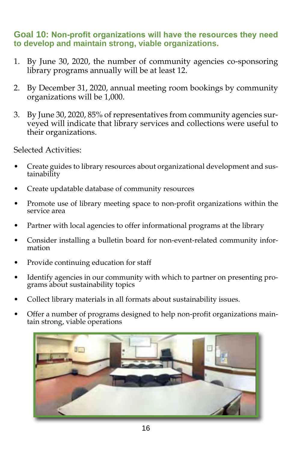#### **Goal 10: Non-profit organizations will have the resources they need to develop and maintain strong, viable organizations.**

- 1. By June 30, 2020, the number of community agencies co-sponsoring library programs annually will be at least 12.
- 2. By December 31, 2020, annual meeting room bookings by community organizations will be 1,000.
- 3. By June 30, 2020, 85% of representatives from community agencies surveyed will indicate that library services and collections were useful to their organizations.

- Create guides to library resources about organizational development and sustainability
- Create updatable database of community resources
- Promote use of library meeting space to non-profit organizations within the service area
- Partner with local agencies to offer informational programs at the library
- Consider installing a bulletin board for non-event-related community information
- Provide continuing education for staff
- Identify agencies in our community with which to partner on presenting programs about sustainability topics
- Collect library materials in all formats about sustainability issues.
- Offer a number of programs designed to help non-profit organizations maintain strong, viable operations

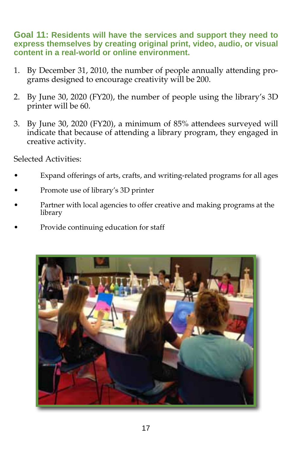**Goal 11: Residents will have the services and support they need to express themselves by creating original print, video, audio, or visual content in a real-world or online environment.** 

- 1. By December 31, 2010, the number of people annually attending programs designed to encourage creativity will be 200.
- 2. By June 30, 2020 (FY20), the number of people using the library's 3D printer will be 60.
- 3. By June 30, 2020 (FY20), a minimum of 85% attendees surveyed will indicate that because of attending a library program, they engaged in creative activity.

- Expand offerings of arts, crafts, and writing-related programs for all ages
- Promote use of library's 3D printer
- Partner with local agencies to offer creative and making programs at the library
- Provide continuing education for staff

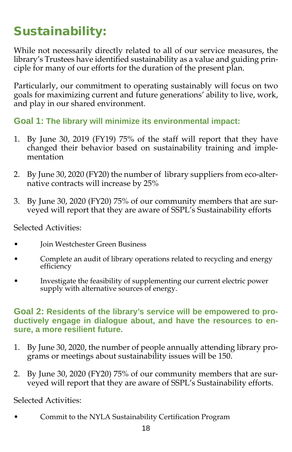# Sustainability:

While not necessarily directly related to all of our service measures, the library's Trustees have identified sustainability as a value and guiding principle for many of our efforts for the duration of the present plan.

Particularly, our commitment to operating sustainably will focus on two goals for maximizing current and future generations' ability to live, work, and play in our shared environment.

**Goal 1: The library will minimize its environmental impact:** 

- 1. By June 30, 2019 (FY19) 75% of the staff will report that they have changed their behavior based on sustainability training and implementation
- 2. By June 30, 2020 (FY20) the number of library suppliers from eco-alternative contracts will increase by 25%
- 3. By June 30, 2020 (FY20) 75% of our community members that are surveyed will report that they are aware of SSPL's Sustainability efforts

Selected Activities:

- Join Westchester Green Business
- Complete an audit of library operations related to recycling and energy efficiency
- Investigate the feasibility of supplementing our current electric power supply with alternative sources of energy.

#### **Goal 2: Residents of the library's service will be empowered to productively engage in dialogue about, and have the resources to ensure, a more resilient future.**

- 1. By June 30, 2020, the number of people annually attending library programs or meetings about sustainability issues will be 150.
- 2. By June 30, 2020 (FY20) 75% of our community members that are surveyed will report that they are aware of SSPL's Sustainability efforts.

Selected Activities:

Commit to the NYLA Sustainability Certification Program